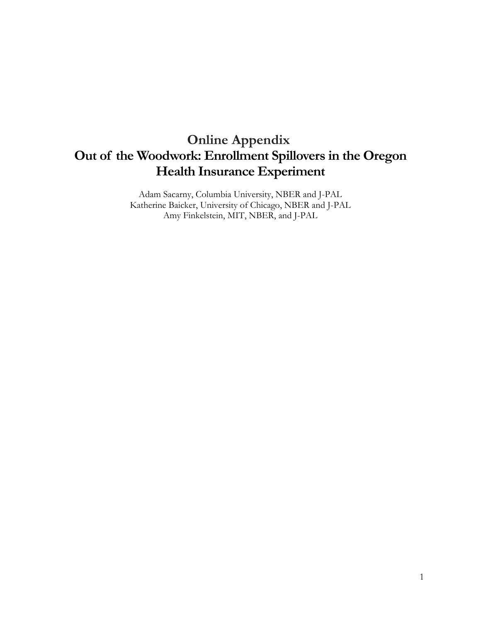# **Online Appendix Out of the Woodwork: Enrollment Spillovers in the Oregon Health Insurance Experiment**

Adam Sacarny, Columbia University, NBER and J-PAL Katherine Baicker, University of Chicago, NBER and J-PAL Amy Finkelstein, MIT, NBER, and J-PAL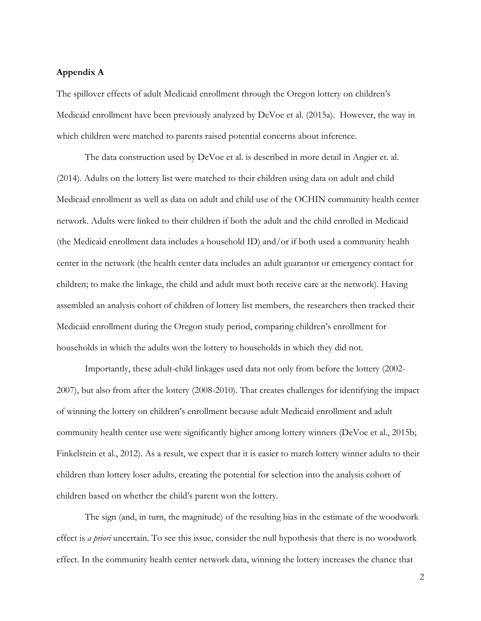### **Appendix A**

The spillover effects of adult Medicaid enrollment through the Oregon lottery on children's Medicaid enrollment have been previously analyzed by DeVoe et al. (2015a). However, the way in which children were matched to parents raised potential concerns about inference.

The data construction used by DeVoe et al. is described in more detail in Angier et. al. (2014). Adults on the lottery list were matched to their children using data on adult and child Medicaid enrollment as well as data on adult and child use of the OCHIN community health center network. Adults were linked to their children if both the adult and the child enrolled in Medicaid (the Medicaid enrollment data includes a household ID) and/or if both used a community health center in the network (the health center data includes an adult guarantor or emergency contact for children; to make the linkage, the child and adult must both receive care at the network). Having assembled an analysis cohort of children of lottery list members, the researchers then tracked their Medicaid enrollment during the Oregon study period, comparing children's enrollment for households in which the adults won the lottery to households in which they did not.

Importantly, these adult-child linkages used data not only from before the lottery (2002- 2007), but also from after the lottery (2008-2010). That creates challenges for identifying the impact of winning the lottery on children's enrollment because adult Medicaid enrollment and adult community health center use were significantly higher among lottery winners (DeVoe et al., 2015b; Finkelstein et al., 2012). As a result, we expect that it is easier to match lottery winner adults to their children than lottery loser adults, creating the potential for selection into the analysis cohort of children based on whether the child's parent won the lottery.

The sign (and, in turn, the magnitude) of the resulting bias in the estimate of the woodwork effect is *a priori* uncertain. To see this issue, consider the null hypothesis that there is no woodwork effect. In the community health center network data, winning the lottery increases the chance that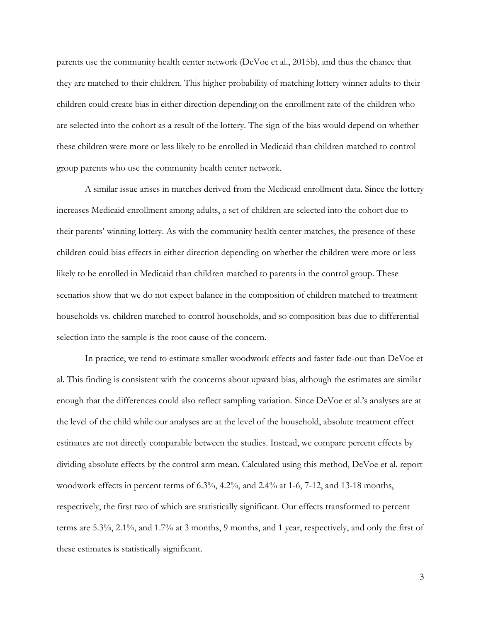parents use the community health center network (DeVoe et al., 2015b), and thus the chance that they are matched to their children. This higher probability of matching lottery winner adults to their children could create bias in either direction depending on the enrollment rate of the children who are selected into the cohort as a result of the lottery. The sign of the bias would depend on whether these children were more or less likely to be enrolled in Medicaid than children matched to control group parents who use the community health center network.

A similar issue arises in matches derived from the Medicaid enrollment data. Since the lottery increases Medicaid enrollment among adults, a set of children are selected into the cohort due to their parents' winning lottery. As with the community health center matches, the presence of these children could bias effects in either direction depending on whether the children were more or less likely to be enrolled in Medicaid than children matched to parents in the control group. These scenarios show that we do not expect balance in the composition of children matched to treatment households vs. children matched to control households, and so composition bias due to differential selection into the sample is the root cause of the concern.

In practice, we tend to estimate smaller woodwork effects and faster fade-out than DeVoe et al. This finding is consistent with the concerns about upward bias, although the estimates are similar enough that the differences could also reflect sampling variation. Since DeVoe et al.'s analyses are at the level of the child while our analyses are at the level of the household, absolute treatment effect estimates are not directly comparable between the studies. Instead, we compare percent effects by dividing absolute effects by the control arm mean. Calculated using this method, DeVoe et al. report woodwork effects in percent terms of 6.3%, 4.2%, and 2.4% at 1-6, 7-12, and 13-18 months, respectively, the first two of which are statistically significant. Our effects transformed to percent terms are 5.3%, 2.1%, and 1.7% at 3 months, 9 months, and 1 year, respectively, and only the first of these estimates is statistically significant.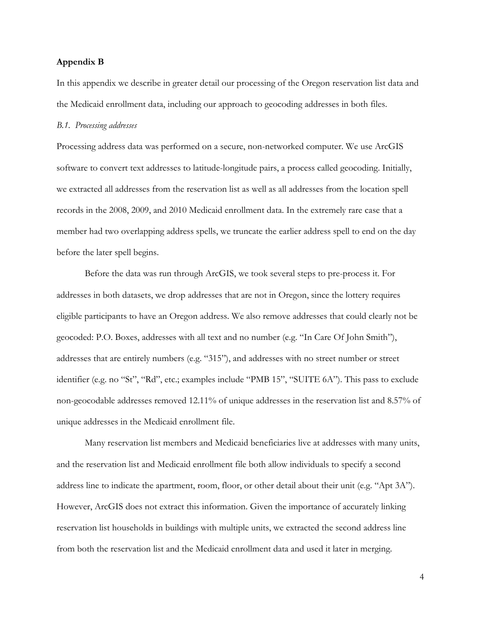### **Appendix B**

In this appendix we describe in greater detail our processing of the Oregon reservation list data and the Medicaid enrollment data, including our approach to geocoding addresses in both files.

#### *B.1. Processing addresses*

Processing address data was performed on a secure, non-networked computer. We use ArcGIS software to convert text addresses to latitude-longitude pairs, a process called geocoding. Initially, we extracted all addresses from the reservation list as well as all addresses from the location spell records in the 2008, 2009, and 2010 Medicaid enrollment data. In the extremely rare case that a member had two overlapping address spells, we truncate the earlier address spell to end on the day before the later spell begins.

Before the data was run through ArcGIS, we took several steps to pre-process it. For addresses in both datasets, we drop addresses that are not in Oregon, since the lottery requires eligible participants to have an Oregon address. We also remove addresses that could clearly not be geocoded: P.O. Boxes, addresses with all text and no number (e.g. "In Care Of John Smith"), addresses that are entirely numbers (e.g. "315"), and addresses with no street number or street identifier (e.g. no "St", "Rd", etc.; examples include "PMB 15", "SUITE 6A"). This pass to exclude non-geocodable addresses removed 12.11% of unique addresses in the reservation list and 8.57% of unique addresses in the Medicaid enrollment file.

Many reservation list members and Medicaid beneficiaries live at addresses with many units, and the reservation list and Medicaid enrollment file both allow individuals to specify a second address line to indicate the apartment, room, floor, or other detail about their unit (e.g. "Apt 3A"). However, ArcGIS does not extract this information. Given the importance of accurately linking reservation list households in buildings with multiple units, we extracted the second address line from both the reservation list and the Medicaid enrollment data and used it later in merging.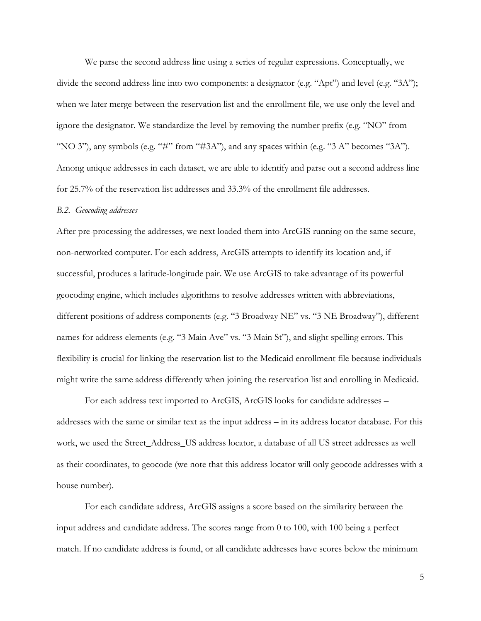We parse the second address line using a series of regular expressions. Conceptually, we divide the second address line into two components: a designator (e.g. "Apt") and level (e.g. "3A"); when we later merge between the reservation list and the enrollment file, we use only the level and ignore the designator. We standardize the level by removing the number prefix (e.g. "NO" from "NO 3"), any symbols (e.g. "#" from "#3A"), and any spaces within (e.g. "3 A" becomes "3A"). Among unique addresses in each dataset, we are able to identify and parse out a second address line for 25.7% of the reservation list addresses and 33.3% of the enrollment file addresses.

#### *B.2. Geocoding addresses*

After pre-processing the addresses, we next loaded them into ArcGIS running on the same secure, non-networked computer. For each address, ArcGIS attempts to identify its location and, if successful, produces a latitude-longitude pair. We use ArcGIS to take advantage of its powerful geocoding engine, which includes algorithms to resolve addresses written with abbreviations, different positions of address components (e.g. "3 Broadway NE" vs. "3 NE Broadway"), different names for address elements (e.g. "3 Main Ave" vs. "3 Main St"), and slight spelling errors. This flexibility is crucial for linking the reservation list to the Medicaid enrollment file because individuals might write the same address differently when joining the reservation list and enrolling in Medicaid.

For each address text imported to ArcGIS, ArcGIS looks for candidate addresses – addresses with the same or similar text as the input address – in its address locator database. For this work, we used the Street\_Address\_US address locator, a database of all US street addresses as well as their coordinates, to geocode (we note that this address locator will only geocode addresses with a house number).

For each candidate address, ArcGIS assigns a score based on the similarity between the input address and candidate address. The scores range from 0 to 100, with 100 being a perfect match. If no candidate address is found, or all candidate addresses have scores below the minimum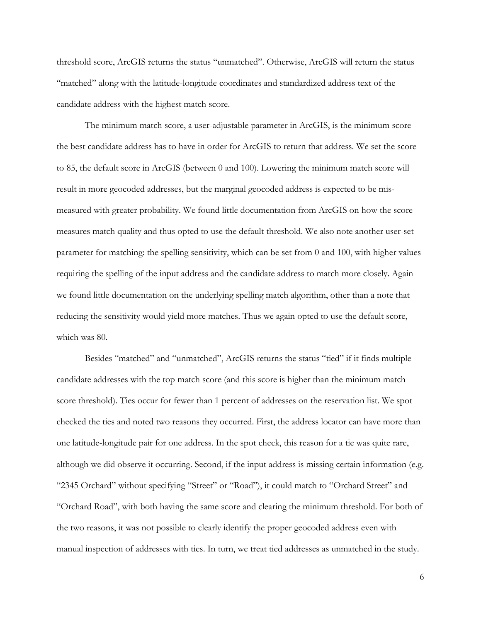threshold score, ArcGIS returns the status "unmatched". Otherwise, ArcGIS will return the status "matched" along with the latitude-longitude coordinates and standardized address text of the candidate address with the highest match score.

The minimum match score, a user-adjustable parameter in ArcGIS, is the minimum score the best candidate address has to have in order for ArcGIS to return that address. We set the score to 85, the default score in ArcGIS (between 0 and 100). Lowering the minimum match score will result in more geocoded addresses, but the marginal geocoded address is expected to be mismeasured with greater probability. We found little documentation from ArcGIS on how the score measures match quality and thus opted to use the default threshold. We also note another user-set parameter for matching: the spelling sensitivity, which can be set from 0 and 100, with higher values requiring the spelling of the input address and the candidate address to match more closely. Again we found little documentation on the underlying spelling match algorithm, other than a note that reducing the sensitivity would yield more matches. Thus we again opted to use the default score, which was 80.

Besides "matched" and "unmatched", ArcGIS returns the status "tied" if it finds multiple candidate addresses with the top match score (and this score is higher than the minimum match score threshold). Ties occur for fewer than 1 percent of addresses on the reservation list. We spot checked the ties and noted two reasons they occurred. First, the address locator can have more than one latitude-longitude pair for one address. In the spot check, this reason for a tie was quite rare, although we did observe it occurring. Second, if the input address is missing certain information (e.g. "2345 Orchard" without specifying "Street" or "Road"), it could match to "Orchard Street" and "Orchard Road", with both having the same score and clearing the minimum threshold. For both of the two reasons, it was not possible to clearly identify the proper geocoded address even with manual inspection of addresses with ties. In turn, we treat tied addresses as unmatched in the study.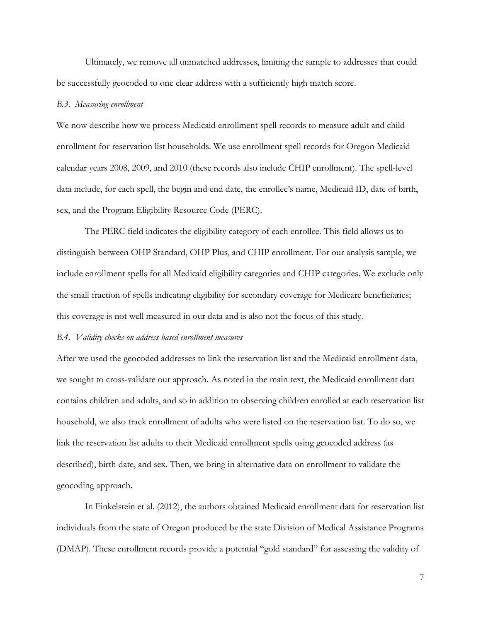Ultimately, we remove all unmatched addresses, limiting the sample to addresses that could be successfully geocoded to one clear address with a sufficiently high match score.

#### *B.3. Measuring enrollment*

We now describe how we process Medicaid enrollment spell records to measure adult and child enrollment for reservation list households. We use enrollment spell records for Oregon Medicaid calendar years 2008, 2009, and 2010 (these records also include CHIP enrollment). The spell-level data include, for each spell, the begin and end date, the enrollee's name, Medicaid ID, date of birth, sex, and the Program Eligibility Resource Code (PERC).

The PERC field indicates the eligibility category of each enrollee. This field allows us to distinguish between OHP Standard, OHP Plus, and CHIP enrollment. For our analysis sample, we include enrollment spells for all Medicaid eligibility categories and CHIP categories. We exclude only the small fraction of spells indicating eligibility for secondary coverage for Medicare beneficiaries; this coverage is not well measured in our data and is also not the focus of this study.

### *B.4. Validity checks on address-based enrollment measures*

After we used the geocoded addresses to link the reservation list and the Medicaid enrollment data, we sought to cross-validate our approach. As noted in the main text, the Medicaid enrollment data contains children and adults, and so in addition to observing children enrolled at each reservation list household, we also track enrollment of adults who were listed on the reservation list. To do so, we link the reservation list adults to their Medicaid enrollment spells using geocoded address (as described), birth date, and sex. Then, we bring in alternative data on enrollment to validate the geocoding approach.

In Finkelstein et al. (2012), the authors obtained Medicaid enrollment data for reservation list individuals from the state of Oregon produced by the state Division of Medical Assistance Programs (DMAP). These enrollment records provide a potential "gold standard" for assessing the validity of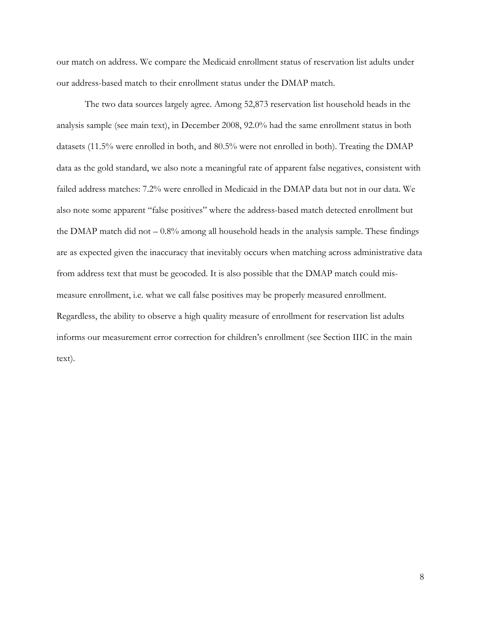our match on address. We compare the Medicaid enrollment status of reservation list adults under our address-based match to their enrollment status under the DMAP match.

The two data sources largely agree. Among 52,873 reservation list household heads in the analysis sample (see main text), in December 2008, 92.0% had the same enrollment status in both datasets (11.5% were enrolled in both, and 80.5% were not enrolled in both). Treating the DMAP data as the gold standard, we also note a meaningful rate of apparent false negatives, consistent with failed address matches: 7.2% were enrolled in Medicaid in the DMAP data but not in our data. We also note some apparent "false positives" where the address-based match detected enrollment but the DMAP match did not  $-0.8\%$  among all household heads in the analysis sample. These findings are as expected given the inaccuracy that inevitably occurs when matching across administrative data from address text that must be geocoded. It is also possible that the DMAP match could mismeasure enrollment, i.e. what we call false positives may be properly measured enrollment. Regardless, the ability to observe a high quality measure of enrollment for reservation list adults informs our measurement error correction for children's enrollment (see Section IIIC in the main text).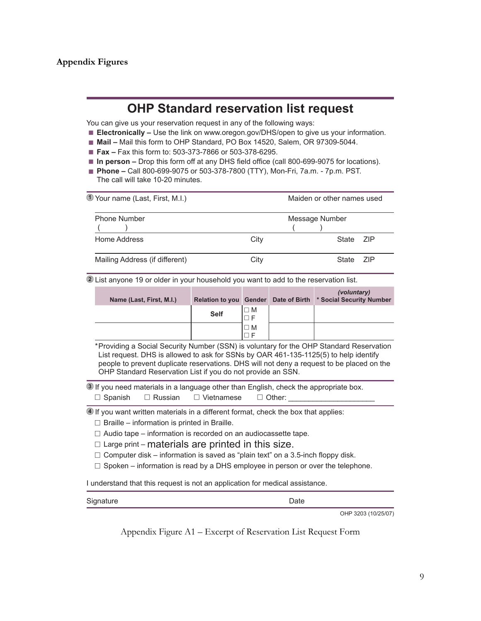# **Appendix Figures**

# **OHP Standard reservation list request**

You can give us your reservation request in any of the following ways:

- **Electronically** Use the link on www.oregon.gov/DHS/open to give us your information.
- **Mail –** Mail this form to OHP Standard, PO Box 14520, Salem, OR 97309-5044.
- **Fax –** Fax this form to: 503-373-7866 or 503-378-6295.
- In person Drop this form off at any DHS field office (call 800-699-9075 for locations).
- **Phone –** Call 800-699-9075 or 503-378-7800 (TTY), Mon-Fri, 7a.m. 7p.m. PST. The call will take 10-20 minutes.

| 1 Your name (Last, First, M.I.) | Maiden or other names used |                |     |  |  |  |
|---------------------------------|----------------------------|----------------|-----|--|--|--|
| <b>Phone Number</b>             |                            | Message Number |     |  |  |  |
| Home Address                    | City                       | State 7IP      |     |  |  |  |
| Mailing Address (if different)  | Citv                       | State          | 7IP |  |  |  |

**2** List anyone 19 or older in your household you want to add to the reservation list.

| Name (Last, First, M.I.) |             |             | (voluntary)<br>Relation to you Gender Date of Birth * Social Security Number |
|--------------------------|-------------|-------------|------------------------------------------------------------------------------|
|                          | <b>Self</b> | $\square$ M |                                                                              |
|                          |             | $\square$ M |                                                                              |

\*Providing a Social Security Number (SSN) is voluntary for the OHP Standard Reservation List request. DHS is allowed to ask for SSNs by OAR 461-135-1125(5) to help identify people to prevent duplicate reservations. DHS will not deny a request to be placed on the OHP Standard Reservation List if you do not provide an SSN.

**3** If you need materials in a language other than English, check the appropriate box.  $\Box$  Spanish  $\Box$  Russian  $\Box$  Vietnamese  $\Box$  Other:

**4** If you want written materials in a different format, check the box that applies:

- $\Box$  Braille information is printed in Braille.
- $\Box$  Audio tape information is recorded on an audiocassette tape.
- $\Box$  Large print materials are printed in this size.
- $\Box$  Computer disk information is saved as "plain text" on a 3.5-inch floppy disk.
- $\Box$  Spoken information is read by a DHS employee in person or over the telephone.

I understand that this request is not an application for medical assistance.

| Signature | Date |
|-----------|------|
|           |      |

OHP 3203 (10/25/07)

Appendix Figure A1 – Excerpt of Reservation List Request Form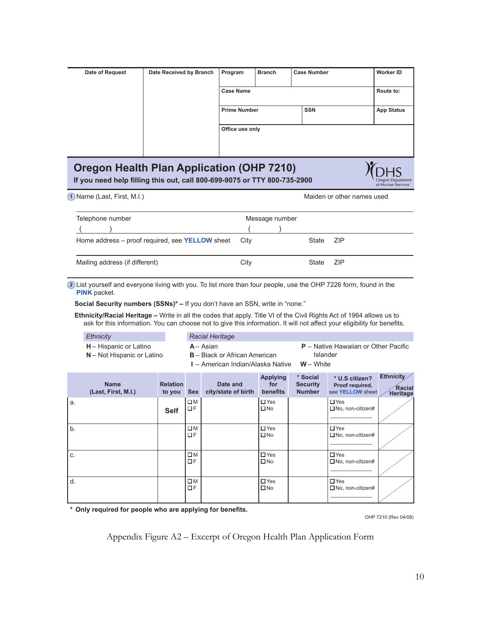| Date of Request | Date Received by Branch                      | Program             | <b>Branch</b> | <b>Case Number</b> | <b>Worker ID</b>  |
|-----------------|----------------------------------------------|---------------------|---------------|--------------------|-------------------|
|                 |                                              | <b>Case Name</b>    |               |                    | Route to:         |
|                 |                                              | <b>Prime Number</b> |               | <b>SSN</b>         | <b>App Status</b> |
|                 |                                              | Office use only     |               |                    |                   |
|                 |                                              |                     |               |                    |                   |
|                 | Opening Health Blanck and Leating (OUR 7040) |                     |               |                    |                   |

# **210)** Oregon Health Plan Application (OHP 7210)

If you need help filling this out, call 800-699-9075 or TTY 800-735-2900

1 Name (Last, First, M.I.) **All and Struck Last Controllering Controllering** Maiden or other names used

כרוי Oregon Department<br>of Human Services

| Telephone number                                            | Message number |  |       |       |
|-------------------------------------------------------------|----------------|--|-------|-------|
|                                                             |                |  |       |       |
| Home address – proof required, see <b>YELLOW</b> sheet City |                |  | State | – ZIP |
| Mailing address (if different)                              | City           |  | State | – ZIP |

2) List yourself and everyone living with you. To list more than four people, use the OHP 7226 form, found in the **PINK** packet.

**Social Security numbers (SSNs)\* - If you don't have an SSN, write in "none."** 

Ethnicity/Racial Heritage - Write in all the codes that apply. Title VI of the Civil Rights Act of 1964 allows us to ask for this information. You can choose not to give this information. It will not affect your eligibility for benefits.

| Ethnicity                                                   | <b>Racial Heritage</b>                                                                   |                                                                   |
|-------------------------------------------------------------|------------------------------------------------------------------------------------------|-------------------------------------------------------------------|
| <b>H</b> – Hispanic or Latino<br>N - Not Hispanic or Latino | $A - Asian$<br><b>B</b> – Black or African American<br>I – American Indian/Alaska Native | $P -$ Native Hawaiian or Other Pacific<br>Islander<br>$W - White$ |
|                                                             |                                                                                          |                                                                   |

|    | <b>Name</b><br>(Last, First, M.I.) | <b>Relation</b><br>to you | <b>Sex</b>        | Date and<br>city/state of birth | <b>Applying</b><br>for<br>benefits | * Social<br><b>Security</b><br><b>Number</b> | * U.S citizen?<br>Proof required,<br>see YELLOW sheet | Ethnicity<br><b>Racial</b><br><b>Heritage</b> |
|----|------------------------------------|---------------------------|-------------------|---------------------------------|------------------------------------|----------------------------------------------|-------------------------------------------------------|-----------------------------------------------|
| a. |                                    | <b>Self</b>               | $\square$ M<br>ΠF |                                 | $\Box$ Yes<br>$\square$ No         |                                              | $\Box$ Yes<br>$\Box$ No, non-citizen#                 |                                               |
| b. |                                    |                           | $\square$ M<br>ΠF |                                 | $\Box$ Yes<br>$\square$ No         |                                              | $\Box$ Yes<br>$\Box$ No, non-citizen#                 |                                               |
| C. |                                    |                           | $\square M$<br>ПF |                                 | $\Box$ Yes<br>$\square$ No         |                                              | $\Box$ Yes<br>$\Box$ No, non-citizen#                 |                                               |
| d. |                                    |                           | $\square M$<br>ПF |                                 | $\Box$ Yes<br>$\square$ No         |                                              | $\Box$ Yes<br>$\Box$ No, non-citizen#                 |                                               |

 $*$  Only required for people who are applying for benefits.

OHP 7210 (Rev 04/08)

Appendix Figure A2 – Excerpt of Oregon Health Plan Application Form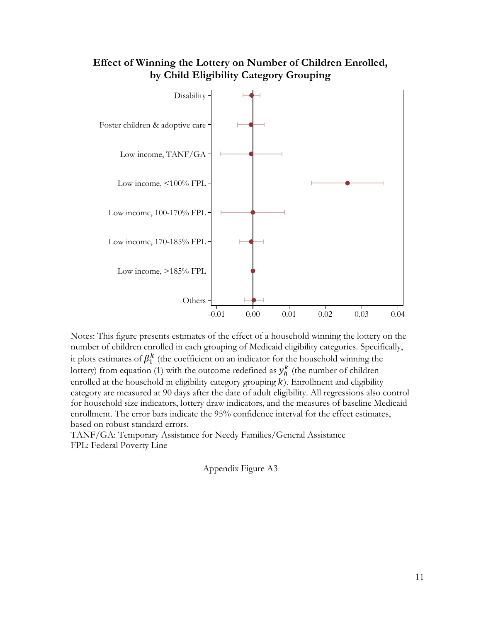# **Effect of Winning the Lottery on Number of Children Enrolled, by Child Eligibility Category Grouping**



Notes: This figure presents estimates of the effect of a household winning the lottery on the number of children enrolled in each grouping of Medicaid eligibility categories. Specifically, it plots estimates of  $\beta_1^k$  (the coefficient on an indicator for the household winning the lottery) from equation (1) with the outcome redefined as  $y_h^k$  (the number of children enrolled at the household in eligibility category grouping  $k$ ). Enrollment and eligibility category are measured at 90 days after the date of adult eligibility. All regressions also control for household size indicators, lottery draw indicators, and the measures of baseline Medicaid enrollment. The error bars indicate the 95% confidence interval for the effect estimates, based on robust standard errors.

TANF/GA: Temporary Assistance for Needy Families/General Assistance FPL: Federal Poverty Line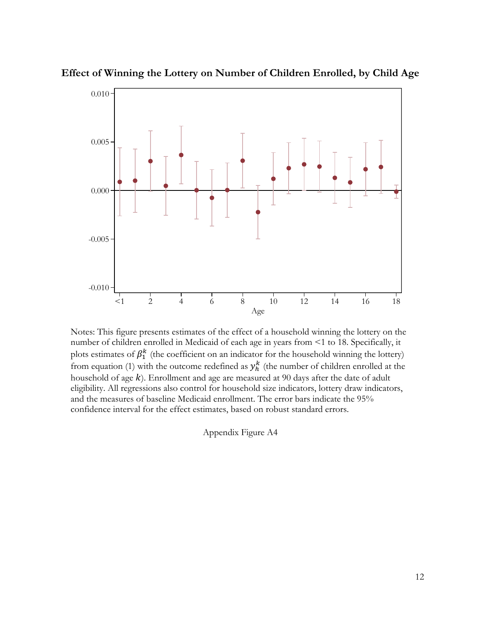

**Effect of Winning the Lottery on Number of Children Enrolled, by Child Age**

Notes: This figure presents estimates of the effect of a household winning the lottery on the number of children enrolled in Medicaid of each age in years from <1 to 18. Specifically, it plots estimates of  $\beta_1^k$  (the coefficient on an indicator for the household winning the lottery) from equation (1) with the outcome redefined as  $y_h^k$  (the number of children enrolled at the household of age  $k$ ). Enrollment and age are measured at 90 days after the date of adult eligibility. All regressions also control for household size indicators, lottery draw indicators, and the measures of baseline Medicaid enrollment. The error bars indicate the 95% confidence interval for the effect estimates, based on robust standard errors.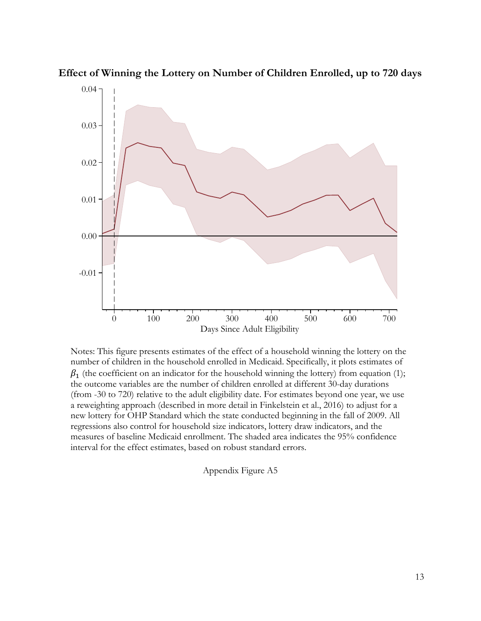

**Effect of Winning the Lottery on Number of Children Enrolled, up to 720 days**

Notes: This figure presents estimates of the effect of a household winning the lottery on the number of children in the household enrolled in Medicaid. Specifically, it plots estimates of  $\beta_1$  (the coefficient on an indicator for the household winning the lottery) from equation (1); the outcome variables are the number of children enrolled at different 30-day durations (from -30 to 720) relative to the adult eligibility date. For estimates beyond one year, we use a reweighting approach (described in more detail in Finkelstein et al., 2016) to adjust for a new lottery for OHP Standard which the state conducted beginning in the fall of 2009. All regressions also control for household size indicators, lottery draw indicators, and the measures of baseline Medicaid enrollment. The shaded area indicates the 95% confidence interval for the effect estimates, based on robust standard errors.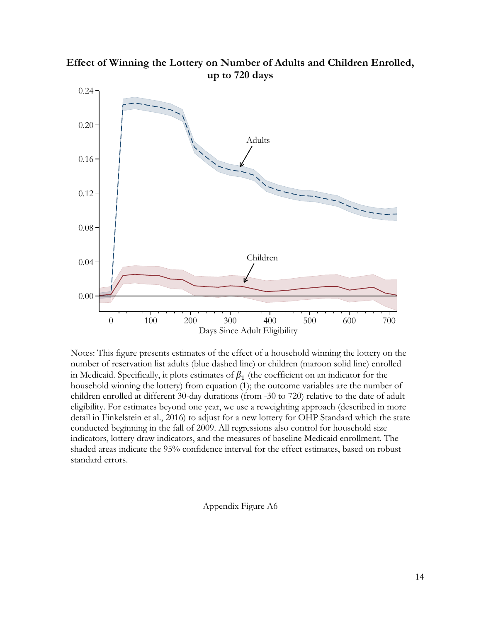

**Effect of Winning the Lottery on Number of Adults and Children Enrolled, up to 720 days**

Notes: This figure presents estimates of the effect of a household winning the lottery on the number of reservation list adults (blue dashed line) or children (maroon solid line) enrolled in Medicaid. Specifically, it plots estimates of  $\beta_1$  (the coefficient on an indicator for the household winning the lottery) from equation (1); the outcome variables are the number of children enrolled at different 30-day durations (from -30 to 720) relative to the date of adult eligibility. For estimates beyond one year, we use a reweighting approach (described in more detail in Finkelstein et al., 2016) to adjust for a new lottery for OHP Standard which the state conducted beginning in the fall of 2009. All regressions also control for household size indicators, lottery draw indicators, and the measures of baseline Medicaid enrollment. The shaded areas indicate the 95% confidence interval for the effect estimates, based on robust standard errors.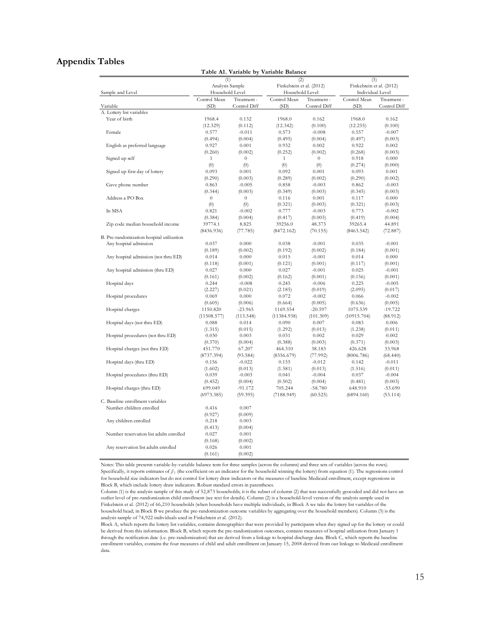## **Appendix Tables**

|                                                              |                        |                  | Table A1. Variable by Variable Balance |              |                                  |              |  |
|--------------------------------------------------------------|------------------------|------------------|----------------------------------------|--------------|----------------------------------|--------------|--|
|                                                              | (1)<br>Analysis Sample |                  | Finkelstein et al. (2012)              | (2)          | (3)<br>Finkelstein et al. (2012) |              |  |
| Sample and Level                                             | Household Level        |                  | Household Level                        |              | Individual Level                 |              |  |
|                                                              | Control Mean           | Treatment -      | Control Mean                           | Treatment -  | Control Mean                     | Treatment -  |  |
| Variable                                                     | (SD)                   | Control Diff     | (SD)                                   | Control Diff | (SD)                             | Control Diff |  |
| A. Lottery list variables                                    |                        |                  |                                        |              |                                  |              |  |
| Year of birth                                                | 1968.4                 | 0.132            | 1968.0                                 | 0.162        | 1968.0                           | 0.162        |  |
|                                                              | (12.329)               | (0.112)          | (12.342)                               | (0.100)      | (12.255)                         | (0.100)      |  |
| Female                                                       | 0.577                  | $-0.011$         | 0.573                                  | $-0.008$     | 0.557                            | $-0.007$     |  |
|                                                              | (0.494)                | (0.004)          | (0.495)                                | (0.004)      | (0.497)                          | (0.003)      |  |
| English as preferred language                                | 0.927                  | 0.001            | 0.932                                  | 0.002        | 0.922                            | 0.002        |  |
|                                                              | (0.260)                | (0.002)          | (0.252)                                | (0.002)      | (0.268)                          | (0.003)      |  |
| Signed up self                                               | $\mathbf{1}$           | $\theta$         | $\mathbf{1}$                           | $\theta$     | 0.918                            | 0.000        |  |
|                                                              | (0)                    | (0)              | (0)                                    | (0)          | (0.274)                          | (0.000)      |  |
| Signed up first day of lottery                               | 0.093                  | 0.001            | 0.092                                  | 0.001        | 0.093                            | 0.001        |  |
|                                                              | (0.290)                | (0.003)          | (0.289)                                | (0.002)      | (0.290)                          | (0.002)      |  |
| Gave phone number                                            | 0.863                  | $-0.005$         | 0.858                                  | $-0.003$     | 0.862                            | $-0.003$     |  |
|                                                              | (0.344)                | (0.003)          | (0.349)                                | (0.003)      | (0.345)                          | (0.003)      |  |
| Address a PO Box                                             | $\boldsymbol{0}$       | $\boldsymbol{0}$ | 0.116                                  | 0.001        | 0.117                            | 0.000        |  |
|                                                              | (0)                    | (0)              | (0.321)                                | (0.003)      | (0.321)                          | (0.003)      |  |
| In MSA                                                       | 0.821                  | $-0.002$         | 0.777                                  | $-0.003$     | 0.773                            | $-0.002$     |  |
|                                                              | (0.384)                | (0.004)          | (0.417)                                | (0.003)      | (0.419)                          | (0.004)      |  |
| Zip code median household income                             | 39774.1                | 8.825            | 39256.0                                | 48.373       | 39265.4                          | 44.891       |  |
|                                                              | (8436.936)             | (77.785)         | (8472.162)                             | (70.155)     | (8463.542)                       | (72.887)     |  |
| B. Pre-randomization hospital utilization                    |                        |                  |                                        |              |                                  |              |  |
| Any hospital admission                                       | 0.037                  | 0.000            | 0.038                                  | $-0.001$     | 0.035                            | $-0.001$     |  |
|                                                              | (0.189)                | (0.002)          | (0.192)                                | (0.002)      | (0.184)                          | (0.001)      |  |
| Any hospital admission (not thru ED)                         | 0.014                  | 0.000            | 0.015                                  | $-0.001$     | 0.014                            | 0.000        |  |
|                                                              | (0.118)                | (0.001)          | (0.121)                                | (0.001)      | (0.117)                          | (0.001)      |  |
| Any hospital admission (thru ED)                             | 0.027                  | 0.000            | 0.027                                  | $-0.001$     | 0.025                            | $-0.001$     |  |
|                                                              | (0.161)                | (0.002)          | (0.162)                                | (0.001)      | (0.156)                          | (0.001)      |  |
| Hospital days                                                | 0.244                  | $-0.008$         | 0.245                                  | $-0.006$     | 0.225                            | $-0.005$     |  |
|                                                              | (2.227)                | (0.021)          | (2.185)                                | (0.019)      | (2.095)                          | (0.017)      |  |
| Hospital procedures                                          | 0.069                  | 0.000            | 0.072                                  | $-0.002$     | 0.066                            | $-0.002$     |  |
|                                                              | (0.605)                | (0.006)          | (0.664)                                | (0.005)      | (0.636)                          | (0.005)      |  |
| Hospital charges                                             | 1150.820               | $-23.965$        | 1169.554                               | $-20.597$    | 1075.539                         | $-19.722$    |  |
|                                                              | (11508.577)            | (113.548)        | (11384.938)                            | (101.309)    | (10915.704)                      | (88.912)     |  |
| Hospital days (not thru ED)                                  | 0.088                  | 0.014            | 0.090                                  | 0.007        | 0.083                            | 0.006        |  |
|                                                              | (1.315)                | (0.015)          | (1.292)                                | (0.013)      | (1.238)                          | (0.011)      |  |
| Hospital procedures (not thru ED)                            | 0.030                  | 0.003            | 0.031                                  | 0.002        | 0.029                            | 0.002        |  |
|                                                              | (0.370)                | (0.004)          | (0.388)                                | (0.003)      | (0.371)                          | (0.003)      |  |
| Hospital charges (not thru ED)                               | 451.770                | 67.207           | 464.310                                | 38.183       | 426.628                          | 33.968       |  |
|                                                              | (8737.394)             | (93.584)         | (8356.679)                             | (77.992)     | (8006.786)                       | (68.440)     |  |
| Hospital days (thru ED)                                      | 0.156                  | $-0.022$         | 0.155                                  | $-0.012$     | 0.142                            | $-0.011$     |  |
|                                                              | (1.602)                | (0.013)          | (1.581)                                | (0.013)      | (1.516)                          | (0.011)      |  |
| Hospital procedures (thru ED)                                | 0.039                  | $-0.003$         | 0.041                                  | $-0.004$     | 0.037                            | $-0.004$     |  |
|                                                              | (0.452)                | (0.004)          | (0.502)                                | (0.004)      | (0.481)                          | (0.003)      |  |
| Hospital charges (thru ED)                                   | 699.049                | -91.172          | 705.244                                | $-58.780$    | 648.910                          | -53.690      |  |
|                                                              | (6973.385)             | (59.395)         | (7188.949)                             | (60.525)     | (6894.160)                       | (53.114)     |  |
|                                                              |                        |                  |                                        |              |                                  |              |  |
| C. Baseline enrollment variables<br>Number children enrolled |                        | 0.007            |                                        |              |                                  |              |  |
|                                                              | 0.416                  |                  |                                        |              |                                  |              |  |
|                                                              | (0.927)                | (0.009)          |                                        |              |                                  |              |  |
| Any children enrolled                                        | 0.218                  | 0.003            |                                        |              |                                  |              |  |
|                                                              | (0.413)                | (0.004)          |                                        |              |                                  |              |  |
| Number reservation list adults enrolled                      | 0.027                  | 0.001            |                                        |              |                                  |              |  |
|                                                              | (0.168)                | (0.002)          |                                        |              |                                  |              |  |
| Any reservation list adults enrolled                         | 0.026                  | 0.001            |                                        |              |                                  |              |  |
|                                                              | (0.161)                | (0.002)          |                                        |              |                                  |              |  |

Notes: This table presents variable-by-variable balance tests for three samples (across the columns) and three sets of variables (across the rows). Specifically, it reports estimates of *β* 1 (the coefficient on an indicator for the household winning the lottery) from equation (1). The regressions control for household size indicators but do not control for lottery draw indicators or the measures of baseline Medicaid enrollment, except regressions in Block B, which include lottery draw indicators. Robust standard errors in parentheses.

Column (1) is the analysis sample of this study of 52,873 households; it is the subset of column (2) that was successfully geocoded and did not have an outlier level of pre-randomization child enrollment (see text for details). Column (2) is a household-level version of the analysis sample used in Finkelstein et al. (2012) of 66,210 households (when households have multiple individuals, in Block A we take the lottery list variables of the household head; in Block B we produce the pre-randomization outcome variables by aggregating over the household members). Column (3) is the analysis sample of 74,922 individuals used in Finkelstein et al. (2012).

Block A, which reports the lottery list variables, contains demographics that were provided by participants when they signed up for the lottery or could be derived from this information. Block B, which reports the pre-randomization outcomes, contains measures of hospital utilization from January 1 through the notification date (i.e. pre-randomization) that are derived from a linkage to hospital discharge data. Block C, which reports the baseline enrollment variables, contains the four measures of child and adult enrollment on January 15, 2008 derived from our linkage to Medicaid enrollment data.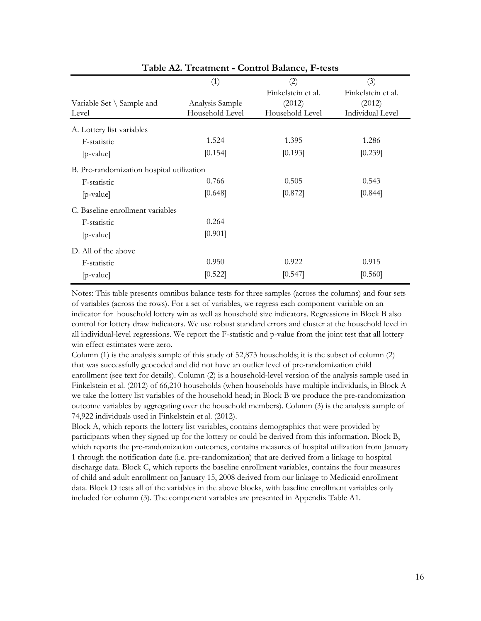|                                           | (1)             | (2)                | (3)                |
|-------------------------------------------|-----------------|--------------------|--------------------|
|                                           |                 | Finkelstein et al. | Finkelstein et al. |
| Variable Set $\setminus$ Sample and       | Analysis Sample | (2012)             | (2012)             |
| Level                                     | Household Level | Household Level    | Individual Level   |
| A. Lottery list variables                 |                 |                    |                    |
| F-statistic                               | 1.524           | 1.395              | 1.286              |
| [p-value]                                 | [0.154]         | [0.193]            | [0.239]            |
| B. Pre-randomization hospital utilization |                 |                    |                    |
| F-statistic                               | 0.766           | 0.505              | 0.543              |
| $[p-value]$                               | [0.648]         | [0.872]            | [0.844]            |
| C. Baseline enrollment variables          |                 |                    |                    |
| F-statistic                               | 0.264           |                    |                    |
| $[p-value]$                               | [0.901]         |                    |                    |
| D. All of the above                       |                 |                    |                    |
| F-statistic                               | 0.950           | 0.922              | 0.915              |
| $[p-value]$                               | [0.522]         | [0.547]            | [0.560]            |

**Table A2. Treatment - Control Balance, F-tests**

Notes: This table presents omnibus balance tests for three samples (across the columns) and four sets of variables (across the rows). For a set of variables, we regress each component variable on an indicator for household lottery win as well as household size indicators. Regressions in Block B also control for lottery draw indicators. We use robust standard errors and cluster at the household level in all individual-level regressions. We report the F-statistic and p-value from the joint test that all lottery win effect estimates were zero.

Column (1) is the analysis sample of this study of 52,873 households; it is the subset of column (2) that was successfully geocoded and did not have an outlier level of pre-randomization child enrollment (see text for details). Column (2) is a household-level version of the analysis sample used in Finkelstein et al. (2012) of 66,210 households (when households have multiple individuals, in Block A we take the lottery list variables of the household head; in Block B we produce the pre-randomization outcome variables by aggregating over the household members). Column (3) is the analysis sample of 74,922 individuals used in Finkelstein et al. (2012).

Block A, which reports the lottery list variables, contains demographics that were provided by participants when they signed up for the lottery or could be derived from this information. Block B, which reports the pre-randomization outcomes, contains measures of hospital utilization from January 1 through the notification date (i.e. pre-randomization) that are derived from a linkage to hospital discharge data. Block C, which reports the baseline enrollment variables, contains the four measures of child and adult enrollment on January 15, 2008 derived from our linkage to Medicaid enrollment data. Block D tests all of the variables in the above blocks, with baseline enrollment variables only included for column (3). The component variables are presented in Appendix Table A1.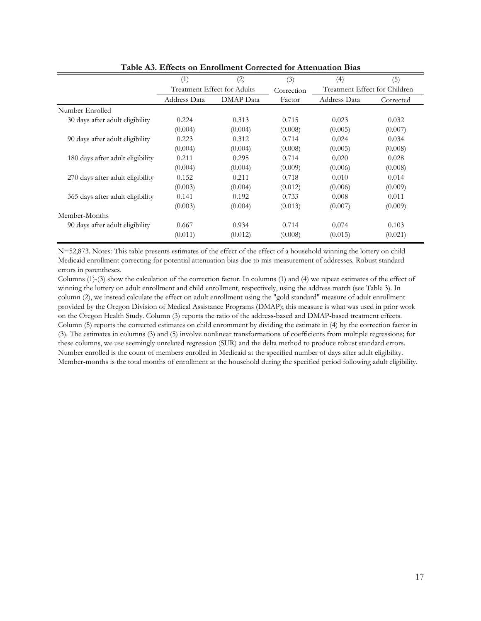|                                  | (1)                         | (2)       | (3)        | (4)                           | (5)       |
|----------------------------------|-----------------------------|-----------|------------|-------------------------------|-----------|
|                                  | Treatment Effect for Adults |           | Correction | Treatment Effect for Children |           |
|                                  | Address Data                | DMAP Data | Factor     | Address Data                  | Corrected |
| Number Enrolled                  |                             |           |            |                               |           |
| 30 days after adult eligibility  | 0.224                       | 0.313     | 0.715      | 0.023                         | 0.032     |
|                                  | (0.004)                     | (0.004)   | (0.008)    | (0.005)                       | (0.007)   |
| 90 days after adult eligibility  | 0.223                       | 0.312     | 0.714      | 0.024                         | 0.034     |
|                                  | (0.004)                     | (0.004)   | (0.008)    | (0.005)                       | (0.008)   |
| 180 days after adult eligibility | 0.211                       | 0.295     | 0.714      | 0.020                         | 0.028     |
|                                  | (0.004)                     | (0.004)   | (0.009)    | (0.006)                       | (0.008)   |
| 270 days after adult eligibility | 0.152                       | 0.211     | 0.718      | 0.010                         | 0.014     |
|                                  | (0.003)                     | (0.004)   | (0.012)    | (0.006)                       | (0.009)   |
| 365 days after adult eligibility | 0.141                       | 0.192     | 0.733      | 0.008                         | 0.011     |
|                                  | (0.003)                     | (0.004)   | (0.013)    | (0.007)                       | (0.009)   |
| Member-Months                    |                             |           |            |                               |           |
| 90 days after adult eligibility  | 0.667                       | 0.934     | 0.714      | 0.074                         | 0.103     |
|                                  | (0.011)                     | (0.012)   | (0.008)    | (0.015)                       | (0.021)   |

**Table A3. Effects on Enrollment Corrected for Attenuation Bias**

N=52,873. Notes: This table presents estimates of the effect of the effect of a household winning the lottery on child Medicaid enrollment correcting for potential attenuation bias due to mis-measurement of addresses. Robust standard errors in parentheses.

Columns (1)-(3) show the calculation of the correction factor. In columns (1) and (4) we repeat estimates of the effect of winning the lottery on adult enrollment and child enrollment, respectively, using the address match (see Table 3). In column (2), we instead calculate the effect on adult enrollment using the "gold standard" measure of adult enrollment provided by the Oregon Division of Medical Assistance Programs (DMAP); this measure is what was used in prior work on the Oregon Health Study. Column (3) reports the ratio of the address-based and DMAP-based treatment effects. Column (5) reports the corrected estimates on child enromment by dividing the estimate in (4) by the correction factor in (3). The estimates in columns (3) and (5) involve nonlinear transformations of coefficients from multiple regressions; for these columns, we use seemingly unrelated regression (SUR) and the delta method to produce robust standard errors. Number enrolled is the count of members enrolled in Medicaid at the specified number of days after adult eligibility. Member-months is the total months of enrollment at the household during the specified period following adult eligibility.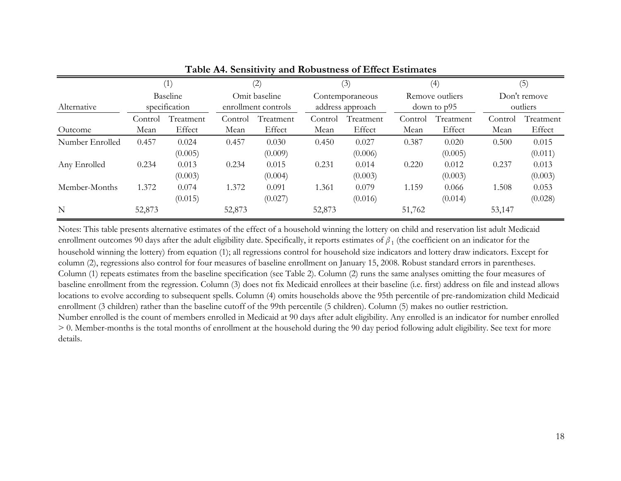|                 |                           | (1)                 |                                      | (2)                 |                                     | (3)                 |                                | (4)                 |                          | (5)                 |
|-----------------|---------------------------|---------------------|--------------------------------------|---------------------|-------------------------------------|---------------------|--------------------------------|---------------------|--------------------------|---------------------|
| Alternative     | Baseline<br>specification |                     | Omit baseline<br>enrollment controls |                     | Contemporaneous<br>address approach |                     | Remove outliers<br>down to p95 |                     | Don't remove<br>outliers |                     |
| Outcome         | Control<br>Mean           | Treatment<br>Effect | Control<br>Mean                      | Treatment<br>Effect | Control<br>Mean                     | Treatment<br>Effect | Control<br>Mean                | Treatment<br>Effect | Control<br>Mean          | Treatment<br>Effect |
| Number Enrolled | 0.457                     | 0.024<br>(0.005)    | 0.457                                | 0.030<br>(0.009)    | 0.450                               | 0.027<br>(0.006)    | 0.387                          | 0.020<br>(0.005)    | 0.500                    | 0.015<br>(0.011)    |
| Any Enrolled    | 0.234                     | 0.013<br>(0.003)    | 0.234                                | 0.015<br>(0.004)    | 0.231                               | 0.014<br>(0.003)    | 0.220                          | 0.012<br>(0.003)    | 0.237                    | 0.013<br>(0.003)    |
| Member-Months   | 1.372                     | 0.074<br>(0.015)    | 1.372                                | 0.091<br>(0.027)    | 1.361                               | 0.079<br>(0.016)    | 1.159                          | 0.066<br>(0.014)    | 1.508                    | 0.053<br>(0.028)    |
| $\mathbf N$     | 52,873                    |                     | 52,873                               |                     | 52,873                              |                     | 51,762                         |                     | 53,147                   |                     |

# **Table A4. Sensitivity and Robustness of Effect Estimates**

Notes: This table presents alternative estimates of the effect of a household winning the lottery on child and reservation list adult Medicaid enrollment outcomes 90 days after the adult eligibility date. Specifically, it reports estimates of  $\beta_1$  (the coefficient on an indicator for the household winning the lottery) from equation (1); all regressions control for household size indicators and lottery draw indicators. Except for column (2), regressions also control for four measures of baseline enrollment on January 15, 2008. Robust standard errors in parentheses. Column (1) repeats estimates from the baseline specification (see Table 2). Column (2) runs the same analyses omitting the four measures of baseline enrollment from the regression. Column (3) does not fix Medicaid enrollees at their baseline (i.e. first) address on file and instead allows locations to evolve according to subsequent spells. Column (4) omits households above the 95th percentile of pre-randomization child Medicaid enrollment (3 children) rather than the baseline cutoff of the 99th percentile (5 children). Column (5) makes no outlier restriction. Number enrolled is the count of members enrolled in Medicaid at 90 days after adult eligibility. Any enrolled is an indicator for number enrolled > 0. Member-months is the total months of enrollment at the household during the 90 day period following adult eligibility. See text for more details.